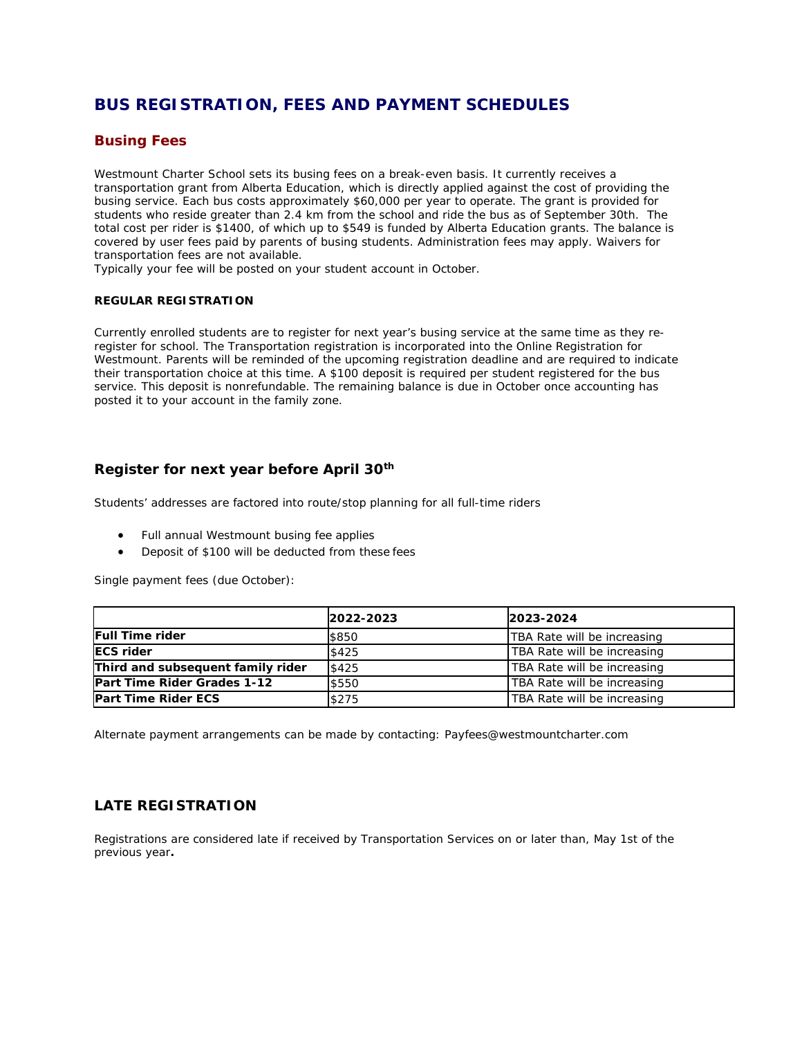# **BUS REGISTRATION, FEES AND PAYMENT SCHEDULES**

## **Busing Fees**

Westmount Charter School sets its busing fees on a break-even basis. It currently receives a transportation grant from Alberta Education, which is directly applied against the cost of providing the busing service. Each bus costs approximately \$60,000 per year to operate. The grant is provided for students who reside greater than 2.4 km from the school and ride the bus as of September 30th. The total cost per rider is \$1400, of which up to \$549 is funded by Alberta Education grants. The balance is covered by user fees paid by parents of busing students. Administration fees may apply. Waivers for transportation fees are not available.

Typically your fee will be posted on your student account in October.

#### **REGULAR REGISTRATION**

Currently enrolled students are to register for next year's busing service at the same time as they reregister for school. The Transportation registration is incorporated into the Online Registration for Westmount. Parents will be reminded of the upcoming registration deadline and are required to indicate their transportation choice at this time. A \$100 deposit is required per student registered for the bus service. This deposit is nonrefundable. The remaining balance is due in October once accounting has posted it to your account in the family zone.

## **Register for next year before April 30th**

Students' addresses are factored into route/stop planning for all full-time riders

- Full annual Westmount busing fee applies
- Deposit of \$100 will be deducted from these fees

Single payment fees (due October):

|                                   | 2022-2023 | 2023-2024                   |
|-----------------------------------|-----------|-----------------------------|
| <b>Full Time rider</b>            | \$850     | TBA Rate will be increasing |
| <b>ECS rider</b>                  | \$425     | TBA Rate will be increasing |
| Third and subsequent family rider | \$425     | TBA Rate will be increasing |
| Part Time Rider Grades 1-12       | \$550     | TBA Rate will be increasing |
| Part Time Rider ECS               | \$275     | TBA Rate will be increasing |

Alternate payment arrangements can be made by contacting: Payfees@westmountcharter.com

#### **LATE REGISTRATION**

Registrations are considered late if received by Transportation Services on or later than, May 1st of the previous year**.**